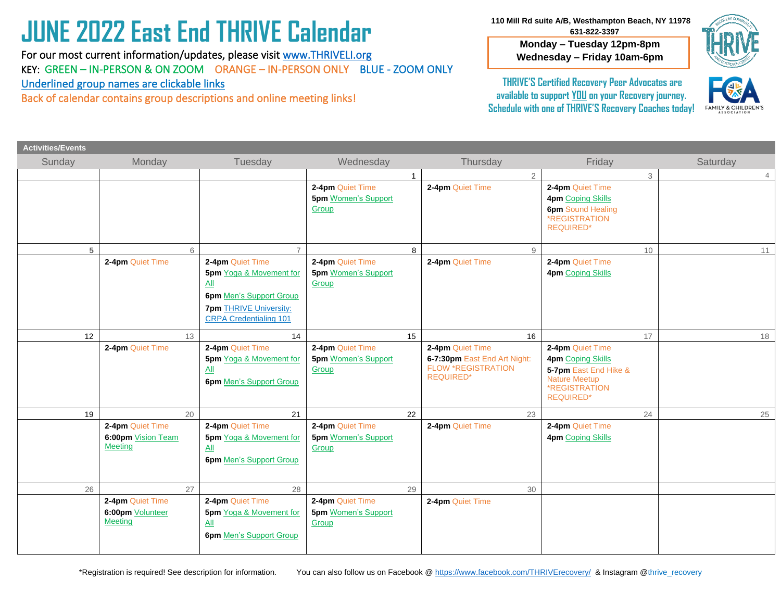# **JUNE 2022 East End THRIVE Calendar**

 Underlined group names are clickable links For our most current information/updates, please visit [www.THRIVELI.org](http://www.thriveli.org/) KEY: GREEN – IN-PERSON & ON ZOOM ORANGE – IN-PERSON ONLY BLUE - ZOOM ONLY

Back of calendar contains group descriptions and online meeting links!

 **110 Mill Rd suite A/B, Westhampton Beach, NY 11978 631-822-3397**

> **Monday – Tuesday 12pm-8pm Wednesday – Friday 10am-6pm**



**THRIVE'S Certified Recovery Peer Advocates are available to support YOU on your Recovery journey. Schedule with one of THRIVE'S Recovery Coaches today!**



| <b>Activities/Events</b> |                                                          |                                                                                                                                                                       |                                                         |                                                                                                   |                                                                                                                                    |                |
|--------------------------|----------------------------------------------------------|-----------------------------------------------------------------------------------------------------------------------------------------------------------------------|---------------------------------------------------------|---------------------------------------------------------------------------------------------------|------------------------------------------------------------------------------------------------------------------------------------|----------------|
| Sunday                   | Monday                                                   | Tuesday                                                                                                                                                               | Wednesday                                               | Thursday                                                                                          | Friday                                                                                                                             | Saturday       |
|                          |                                                          |                                                                                                                                                                       |                                                         | $\overline{2}$<br>1                                                                               | 3                                                                                                                                  | $\overline{4}$ |
|                          |                                                          |                                                                                                                                                                       | 2-4pm Quiet Time<br><b>5pm Women's Support</b><br>Group | 2-4pm Quiet Time                                                                                  | 2-4pm Quiet Time<br>4pm Coping Skills<br><b>6pm</b> Sound Healing<br>*REGISTRATION<br><b>REQUIRED*</b>                             |                |
| 5                        | 6                                                        |                                                                                                                                                                       |                                                         | 9<br>8                                                                                            | 10                                                                                                                                 | 11             |
|                          | 2-4pm Quiet Time                                         | 2-4pm Quiet Time<br><b>5pm</b> Yoga & Movement for<br>$\Delta$ ll<br><b>6pm</b> Men's Support Group<br><b>7pm THRIVE University:</b><br><b>CRPA Credentialing 101</b> | 2-4pm Quiet Time<br><b>5pm</b> Women's Support<br>Group | 2-4pm Quiet Time                                                                                  | 2-4pm Quiet Time<br><b>4pm</b> Coping Skills                                                                                       |                |
| 12                       | 13                                                       | 14                                                                                                                                                                    |                                                         | 15<br>16                                                                                          | 17                                                                                                                                 | 18             |
|                          | 2-4pm Quiet Time                                         | 2-4pm Quiet Time<br><b>5pm</b> Yoga & Movement for<br>All<br><b>6pm</b> Men's Support Group                                                                           | 2-4pm Quiet Time<br><b>5pm Women's Support</b><br>Group | 2-4pm Quiet Time<br>6-7:30pm East End Art Night:<br><b>FLOW *REGISTRATION</b><br><b>REQUIRED*</b> | 2-4pm Quiet Time<br><b>4pm Coping Skills</b><br>5-7pm East End Hike &<br><b>Nature Meetup</b><br>*REGISTRATION<br><b>REQUIRED*</b> |                |
| 19                       | 20                                                       | 21                                                                                                                                                                    |                                                         | 22<br>23                                                                                          | 24                                                                                                                                 | 25             |
|                          | 2-4pm Quiet Time<br>6:00pm Vision Team<br><b>Meeting</b> | 2-4pm Quiet Time<br>5pm Yoga & Movement for<br>$\underline{All}$<br><b>6pm</b> Men's Support Group                                                                    | 2-4pm Quiet Time<br><b>5pm</b> Women's Support<br>Group | 2-4pm Quiet Time                                                                                  | 2-4pm Quiet Time<br>4pm Coping Skills                                                                                              |                |
| 26                       | 27                                                       | 28                                                                                                                                                                    |                                                         | 29<br>30                                                                                          |                                                                                                                                    |                |
|                          | 2-4pm Quiet Time<br>6:00pm Volunteer<br><b>Meeting</b>   | 2-4pm Quiet Time<br>5pm Yoga & Movement for<br>$\Delta$ ll<br><b>6pm Men's Support Group</b>                                                                          | 2-4pm Quiet Time<br><b>5pm Women's Support</b><br>Group | 2-4pm Quiet Time                                                                                  |                                                                                                                                    |                |